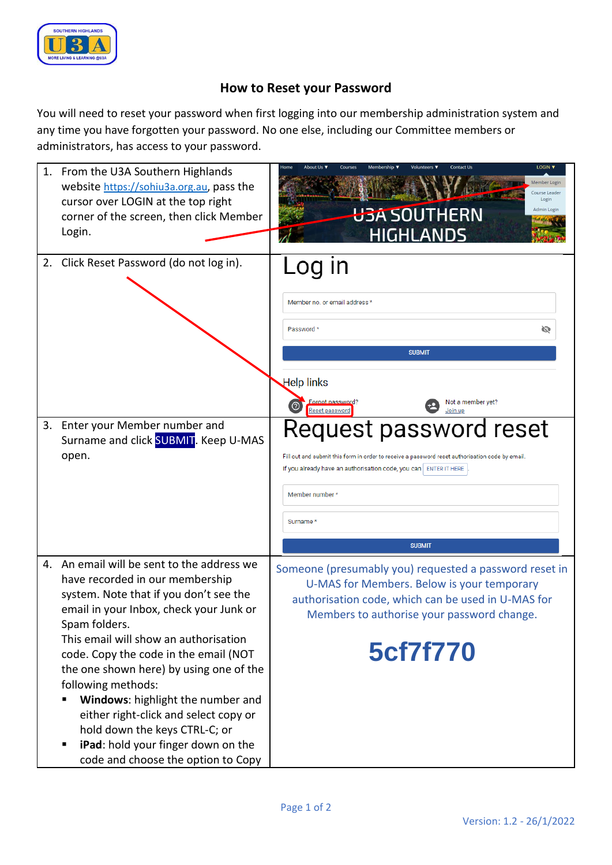

## **How to Reset your Password**

You will need to reset your password when first logging into our membership administration system and any time you have forgotten your password. No one else, including our Committee members or administrators, has access to your password.

| 1. | From the U3A Southern Highlands<br>website https://sohiu3a.org.au, pass the<br>cursor over LOGIN at the top right<br>corner of the screen, then click Member<br>Login.                                                                                                                                                                                                                                                                                                                                                            | LOGIN V<br><b>Contact Us</b><br>Home<br>Volunteers ▼<br>Member Login<br>Course Leader<br>Login<br><b>U3A SOUTHERN</b><br>Admin Login<br>HIGHI ANDS                                                                                                                                  |
|----|-----------------------------------------------------------------------------------------------------------------------------------------------------------------------------------------------------------------------------------------------------------------------------------------------------------------------------------------------------------------------------------------------------------------------------------------------------------------------------------------------------------------------------------|-------------------------------------------------------------------------------------------------------------------------------------------------------------------------------------------------------------------------------------------------------------------------------------|
|    | 2. Click Reset Password (do not log in).                                                                                                                                                                                                                                                                                                                                                                                                                                                                                          | _oq in<br>Member no. or email address *<br>Password *<br>Ø<br><b>SUBMIT</b><br><b>Help links</b><br>Forgot password?<br>Not a member yet?                                                                                                                                           |
|    | 3. Enter your Member number and<br>Surname and click <b>SUBMIT</b> . Keep U-MAS<br>open.                                                                                                                                                                                                                                                                                                                                                                                                                                          | Join up<br><b>Reset password</b><br>Request password reset<br>Fill out and submit this form in order to receive a password reset authorisation code by email.<br>If you already have an authorisation code, you can   ENTER IT HERE<br>Member number *<br>Surname*<br><b>SUBMIT</b> |
|    | 4. An email will be sent to the address we<br>have recorded in our membership<br>system. Note that if you don't see the<br>email in your Inbox, check your Junk or<br>Spam folders.<br>This email will show an authorisation<br>code. Copy the code in the email (NOT<br>the one shown here) by using one of the<br>following methods:<br>Windows: highlight the number and<br>either right-click and select copy or<br>hold down the keys CTRL-C; or<br>iPad: hold your finger down on the<br>code and choose the option to Copy | Someone (presumably you) requested a password reset in<br>U-MAS for Members. Below is your temporary<br>authorisation code, which can be used in U-MAS for<br>Members to authorise your password change.<br>5cf7f770                                                                |